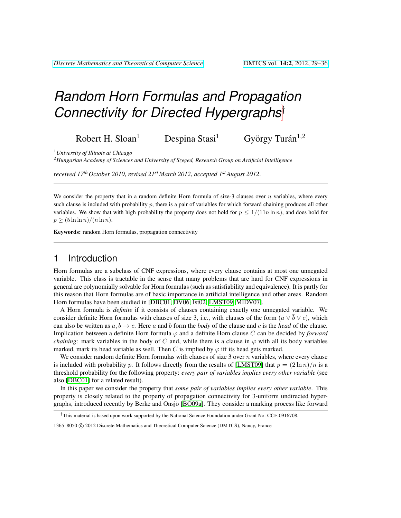# *Random Horn Formulas and Propagation Connectivity for Directed Hypergraphs*†

Robert H. Sloan<sup>1</sup> Despina Stasi<sup>1</sup> György Turán $^{1,2}$ 

<sup>1</sup>*University of Illinois at Chicago*

<sup>2</sup>*Hungarian Academy of Sciences and University of Szeged, Research Group on Artificial Intelligence*

*received 17th October 2010*, *revised 21st March 2012*, *accepted 1stAugust 2012*.

We consider the property that in a random definite Horn formula of size-3 clauses over  $n$  variables, where every such clause is included with probability p, there is a pair of variables for which forward chaining produces all other variables. We show that with high probability the property does not hold for  $p \le 1/(11n \ln n)$ , and does hold for  $p \geq (5 \ln \ln n)/(n \ln n).$ 

Keywords: random Horn formulas, propagation connectivity

### 1 Introduction

Horn formulas are a subclass of CNF expressions, where every clause contains at most one unnegated variable. This class is tractable in the sense that many problems that are hard for CNF expressions in general are polynomially solvable for Horn formulas (such as satisfiability and equivalence). It is partly for this reason that Horn formulas are of basic importance in artificial intelligence and other areas. Random Horn formulas have been studied in [\[DBC01,](#page-6-0) [DV06,](#page-6-1) [Ist02,](#page-6-2) [LMST09,](#page-6-3) [MIDV07\]](#page-6-4).

A Horn formula is *definite* if it consists of clauses containing exactly one unnegated variable. We consider definite Horn formulas with clauses of size 3, i.e., with clauses of the form  $(\bar{a} \vee \bar{b} \vee c)$ , which can also be written as  $a, b \rightarrow c$ . Here a and b form the *body* of the clause and c is the *head* of the clause. Implication between a definite Horn formula  $\varphi$  and a definite Horn clause C can be decided by *forward chaining*: mark variables in the body of C and, while there is a clause in  $\varphi$  with all its body variables marked, mark its head variable as well. Then C is implied by  $\varphi$  iff its head gets marked.

We consider random definite Horn formulas with clauses of size 3 over n variables, where every clause is included with probability p. It follows directly from the results of [\[LMST09\]](#page-6-3) that  $p = (2 \ln n)/n$  is a threshold probability for the following property: *every pair of variables implies every other variable* (see also [\[DBC01\]](#page-6-0) for a related result).

In this paper we consider the property that *some pair of variables implies every other variable*. This property is closely related to the property of propagation connectivity for 3-uniform undirected hyper-graphs, introduced recently by Berke and Onsjö [\[BO09a\]](#page-5-0). They consider a marking process like forward

<sup>†</sup>This material is based upon work supported by the National Science Foundation under Grant No. CCF-0916708.

<sup>1365–8050</sup> C 2012 Discrete Mathematics and Theoretical Computer Science (DMTCS), Nancy, France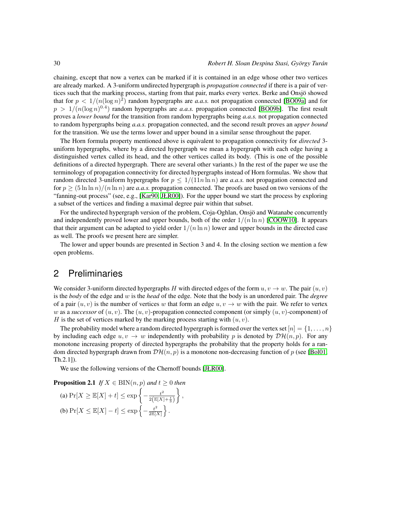chaining, except that now a vertex can be marked if it is contained in an edge whose other two vertices are already marked. A 3-uniform undirected hypergraph is *propagation connected* if there is a pair of vertices such that the marking process, starting from that pair, marks every vertex. Berke and Onsjö showed that for  $p < 1/(n(\log n)^2)$  random hypergraphs are *a.a.s.* not propagation connected [\[BO09a\]](#page-5-0) and for  $p > 1/(n(\log n)^{0.4})$  random hypergraphs are *a.a.s.* propagation connected [\[BO09b\]](#page-6-5). The first result proves a *lower bound* for the transition from random hypergraphs being *a.a.s.* not propagation connected to random hypergraphs being *a.a.s.* propagation connected, and the second result proves an *upper bound* for the transition. We use the terms lower and upper bound in a similar sense throughout the paper.

The Horn formula property mentioned above is equivalent to propagation connectivity for *directed* 3 uniform hypergraphs, where by a directed hypergraph we mean a hypergraph with each edge having a distinguished vertex called its head, and the other vertices called its body. (This is one of the possible definitions of a directed hypergraph. There are several other variants.) In the rest of the paper we use the terminology of propagation connectivity for directed hypergraphs instead of Horn formulas. We show that random directed 3-uniform hypergraphs for  $p \le 1/(11n \ln n)$  are *a.a.s.* not propagation connected and for  $p \ge (\frac{5 \ln \ln n}{n \ln n})$  are *a.a.s.* propagation connected. The proofs are based on two versions of the "fanning-out process" (see, e.g., [\[Kar90,](#page-6-6) [JŁR00\]](#page-6-7)). For the upper bound we start the process by exploring a subset of the vertices and finding a maximal degree pair within that subset.

For the undirected hypergraph version of the problem, Coja-Oghlan, Onsjö and Watanabe concurrently and independently proved lower and upper bounds, both of the order  $1/(n \ln n)$  [\[COOW10\]](#page-6-8). It appears that their argument can be adapted to yield order  $1/(n \ln n)$  lower and upper bounds in the directed case as well. The proofs we present here are simpler.

The lower and upper bounds are presented in Section 3 and 4. In the closing section we mention a few open problems.

# 2 Preliminaries

We consider 3-uniform directed hypergraphs H with directed edges of the form  $u, v \rightarrow w$ . The pair  $(u, v)$ is the *body* of the edge and w is the *head* of the edge. Note that the body is an unordered pair. The *degree* of a pair  $(u, v)$  is the number of vertices w that form an edge  $u, v \rightarrow w$  with the pair. We refer to vertex w as a *successor* of  $(u, v)$ . The  $(u, v)$ -propagation connected component (or simply  $(u, v)$ -component) of H is the set of vertices marked by the marking process starting with  $(u, v)$ .

The probability model where a random directed hypergraph is formed over the vertex set  $[n] = \{1, \ldots, n\}$ by including each edge  $u, v \rightarrow w$  independently with probability p is denoted by  $\mathcal{DH}(n, p)$ . For any monotone increasing property of directed hypergraphs the probability that the property holds for a random directed hypergraph drawn from  $\mathcal{DH}(n, p)$  is a monotone non-decreasing function of p (see [\[Bol01,](#page-6-9) Th.2.1]).

<span id="page-1-0"></span>We use the following versions of the Chernoff bounds [\[JŁR00\]](#page-6-7).

#### **Proposition 2.1** *If*  $X \in BIN(n, p)$  *and*  $t > 0$  *then* (a)  $Pr[X \geq \mathbb{E}[X] + t] \leq exp \left\{-\frac{t^2}{2\sqrt{\mathbb{E}[X]}}\right\}$  $2(\mathbb{E}[X]+\frac{t}{3})$  $\big\}$ , (b)  $Pr[X \leq \mathbb{E}[X] - t] \leq exp\left\{-\frac{t^2}{2\mathbb{E}[X]}\right\}.$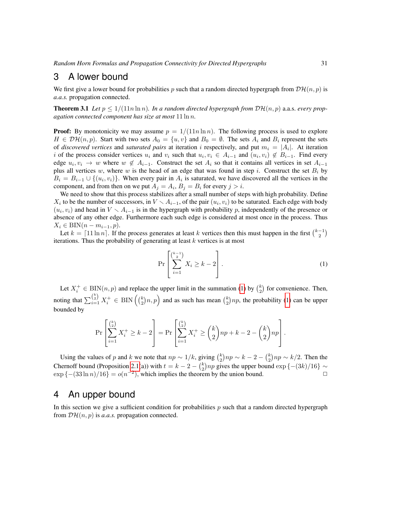### 3 A lower bound

We first give a lower bound for probabilities p such that a random directed hypergraph from  $\mathcal{DH}(n, p)$  is *a.a.s.* propagation connected.

<span id="page-2-2"></span>**Theorem 3.1** Let  $p \leq 1/(11n \ln n)$ . In a random directed hypergraph from  $D\mathcal{H}(n, p)$  a.a.s. every prop*agation connected component has size at most* 11 ln n*.*

**Proof:** By monotonicity we may assume  $p = 1/(11n \ln n)$ . The following process is used to explore  $H \in \mathcal{DH}(n, p)$ . Start with two sets  $A_0 = \{u, v\}$  and  $B_0 = \emptyset$ . The sets  $A_i$  and  $B_i$  represent the sets of *discovered vertices* and *saturated pairs* at iteration i respectively, and put  $m_i = |A_i|$ . At iteration i of the process consider vertices  $u_i$  and  $v_i$  such that  $u_i, v_i \in A_{i-1}$  and  $(u_i, v_i) \notin B_{i-1}$ . Find every edge  $u_i, v_i \to w$  where  $w \notin A_{i-1}$ . Construct the set  $A_i$  so that it contains all vertices in set  $A_{i-1}$ plus all vertices w, where w is the head of an edge that was found in step i. Construct the set  $B_i$  by  $B_i = B_{i-1} \cup \{(u_i, v_i)\}\.$  When every pair in  $A_i$  is saturated, we have discovered all the vertices in the component, and from then on we put  $A_j = A_i$ ,  $B_j = B_i$  for every  $j > i$ .

We need to show that this process stabilizes after a small number of steps with high probability. Define  $X_i$  to be the number of successors, in  $V \setminus A_{i-1}$ , of the pair  $(u_i, v_i)$  to be saturated. Each edge with body  $(u_i, v_i)$  and head in  $V \setminus A_{i-1}$  is in the hypergraph with probability p, independently of the presence or absence of any other edge. Furthermore each such edge is considered at most once in the process. Thus  $X_i \in BIN(n-m_{i-1}, p).$ 

Let  $k = \lceil 11 \ln n \rceil$ . If the process generates at least k vertices then this must happen in the first  $\binom{k-1}{2}$ iterations. Thus the probability of generating at least  $k$  vertices is at most

<span id="page-2-0"></span>
$$
\Pr\left[\sum_{i=1}^{k-1} X_i \ge k-2\right].\tag{1}
$$

Let  $X_i^+ \in BIN(n, p)$  and replace the upper limit in the summation [\(1\)](#page-2-0) by  $\binom{k}{2}$  for convenience. Then, noting that  $\sum_{i=1}^{\binom{k}{2}} X_i^+ \in \text{BIN}\left(\binom{k}{2}n, p\right)$  and as such has mean  $\binom{k}{2}np$ , the probability [\(1\)](#page-2-0) can be upper bounded by

$$
\Pr\left[\sum_{i=1}^{\binom{k}{2}} X_i^+ \ge k-2\right] = \Pr\left[\sum_{i=1}^{\binom{k}{2}} X_i^+ \ge \binom{k}{2} np + k - 2 - \binom{k}{2} np\right].
$$

Using the values of p and k we note that  $np \sim 1/k$ , giving  $\binom{k}{2} np \sim k - 2 - \binom{k}{2} np \sim k/2$ . Then the Chernoff bound (Proposition [2.1\(](#page-1-0)a)) with  $t = k - 2 - {k \choose 2} np$  gives the upper bound  $\exp \{- (3k)/16\} \sim$  $\exp\{-(33\ln n)/16\} = o(n^{-2})$ , which implies the theorem by the union bound.

#### 4 An upper bound

<span id="page-2-1"></span>In this section we give a sufficient condition for probabilities  $p$  such that a random directed hypergraph from  $\mathcal{DH}(n, p)$  is *a.a.s.* propagation connected.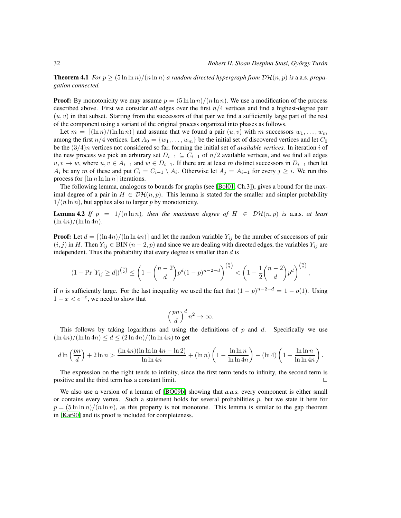**Theorem 4.1** *For*  $p > (5 \ln \ln n)/(n \ln n)$  *a random directed hypergraph from*  $D\mathcal{H}(n, p)$  *is a.a.s. propagation connected.*

**Proof:** By monotonicity we may assume  $p = (5 \ln \ln n)/(n \ln n)$ . We use a modification of the process described above. First we consider *all* edges over the first n/4 vertices and find a highest-degree pair  $(u, v)$  in that subset. Starting from the successors of that pair we find a sufficiently large part of the rest of the component using a variant of the original process organized into phases as follows.

Let  $m = \left[ (\ln n)/(\ln \ln n) \right]$  and assume that we found a pair  $(u, v)$  with m successors  $w_1, \ldots, w_m$ among the first  $n/4$  vertices. Let  $A_0 = \{w_1, \ldots, w_m\}$  be the initial set of discovered vertices and let  $C_0$ be the (3/4)n vertices not considered so far, forming the initial set of *available vertices*. In iteration i of the new process we pick an arbitrary set  $D_{i-1} \subseteq C_{i-1}$  of  $n/2$  available vertices, and we find all edges  $u, v \to w$ , where  $u, v \in A_{i-1}$  and  $w \in D_{i-1}$ . If there are at least m distinct successors in  $D_{i-1}$  then let  $A_i$  be any m of these and put  $C_i = C_{i-1} \setminus A_i$ . Otherwise let  $A_j = A_{i-1}$  for every  $j \geq i$ . We run this process for  $\lceil \ln n \ln n \rceil$  iterations.

The following lemma, analogous to bounds for graphs (see [\[Bol01,](#page-6-9) Ch.3]), gives a bound for the maximal degree of a pair in  $H \in \mathcal{DH}(n, p)$ . This lemma is stated for the smaller and simpler probability  $1/(n \ln n)$ , but applies also to larger p by monotonicity.

<span id="page-3-1"></span>**Lemma 4.2** If  $p = 1/(n \ln n)$ , then the maximum degree of  $H \in \mathcal{DH}(n, p)$  is a.a.s. at least  $(\ln 4n)/(\ln \ln 4n)$ .

**Proof:** Let  $d = \lfloor (\ln 4n)/(\ln \ln 4n) \rfloor$  and let the random variable  $Y_{ij}$  be the number of successors of pair  $(i, j)$  in H. Then  $Y_{ij} \in BIN(n-2, p)$  and since we are dealing with directed edges, the variables  $Y_{ij}$  are independent. Thus the probability that every degree is smaller than  $d$  is

$$
(1 - \Pr[Y_{ij} \ge d])^{n \choose 2} \le \left(1 - {n-2 \choose d} p^d (1-p)^{n-2-d}\right)^{n \choose 2} < \left(1 - \frac{1}{2} {n-2 \choose d} p^d\right)^{n \choose 2},
$$

if n is sufficiently large. For the last inequality we used the fact that  $(1-p)^{n-2-d} = 1 - o(1)$ . Using  $1 - x < e^{-x}$ , we need to show that

$$
\left(\frac{pn}{d}\right)^d n^2 \to \infty.
$$

This follows by taking logarithms and using the definitions of p and d. Specifically we use  $(\ln 4n)/(\ln \ln 4n) \leq d \leq (2 \ln 4n)/(\ln \ln 4n)$  to get

$$
d\ln\left(\frac{pn}{d}\right) + 2\ln n > \frac{(\ln 4n)(\ln\ln\ln 4n - \ln 2)}{\ln\ln 4n} + (\ln n)\left(1 - \frac{\ln\ln n}{\ln\ln 4n}\right) - (\ln 4)\left(1 + \frac{\ln\ln n}{\ln\ln 4n}\right).
$$

The expression on the right tends to infinity, since the first term tends to infinity, the second term is positive and the third term has a constant limit.

<span id="page-3-0"></span>We also use a version of a lemma of [\[BO09b\]](#page-6-5) showing that *a.a.s.* every component is either small or contains every vertex. Such a statement holds for several probabilities  $p$ , but we state it here for  $p = (5 \ln \ln n)/(n \ln n)$ , as this property is not monotone. This lemma is similar to the gap theorem in [\[Kar90\]](#page-6-6) and its proof is included for completeness.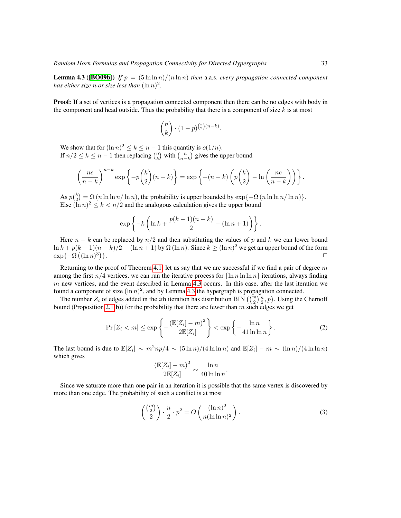**Lemma 4.3 ([\[BO09b\]](#page-6-5))** *If*  $p = (5 \ln \ln n)/(n \ln n)$  *then* a.a.s. *every propagation connected component* has either size n or size less than  $(\ln n)^2$ .

**Proof:** If a set of vertices is a propagation connected component then there can be no edges with body in the component and head outside. Thus the probability that there is a component of size  $k$  is at most

$$
\binom{n}{k} \cdot (1-p)^{\binom{k}{2}(n-k)}
$$

.

We show that for  $(\ln n)^2 \le k \le n - 1$  this quantity is  $o(1/n)$ . If  $n/2 \le k \le n-1$  then replacing  $\binom{n}{k}$  with  $\binom{n}{n-k}$  gives the upper bound

$$
\left(\frac{ne}{n-k}\right)^{n-k} \exp\left\{-p\binom{k}{2}(n-k)\right\} = \exp\left\{-(n-k)\left(p\binom{k}{2} - \ln\left(\frac{ne}{n-k}\right)\right)\right\}.
$$

As  $p_{\binom{k}{2}} = \Omega(n \ln \ln n / \ln n)$ , the probability is upper bounded by  $\exp\{-\Omega(n \ln \ln n / \ln n)\}$ . Else  $(\overline{\ln} n)^2 \le k < n/2$  and the analogous calculation gives the upper bound

$$
\exp\left\{-k\left(\ln k+\frac{p(k-1)(n-k)}{2}-(\ln n+1)\right)\right\}.
$$

Here  $n - k$  can be replaced by  $n/2$  and then substituting the values of p and k we can lower bound  $\ln k + p(k-1)(n-k)/2 - (\ln n + 1)$  by  $\Omega(\ln n)$ . Since  $k \ge (\ln n)^2$  we get an upper bound of the form  $\exp\{-\Omega((\ln n)^3)\}$  $\}$ .

Returning to the proof of Theorem [4.1,](#page-2-1) let us say that we are successful if we find a pair of degree  $m$ among the first  $n/4$  vertices, we can run the iterative process for  $\left[\ln n \ln \ln n\right]$  iterations, always finding  $m$  new vertices, and the event described in Lemma [4.3](#page-3-0) occurs. In this case, after the last iteration we found a component of size  $(\ln n)^2$ , and by Lemma [4.3](#page-3-0) the hypergraph is propagation connected.

The number  $Z_i$  of edges added in the *i*th iteration has distribution BIN  $\left(\binom{m}{2}\frac{n}{2}, p\right)$ . Using the Chernoff bound (Proposition [2.1\(](#page-1-0)b)) for the probability that there are fewer than  $m$  such edges we get

$$
\Pr\left[Z_i < m\right] \le \exp\left\{-\frac{\left(\mathbb{E}[Z_i] - m\right)^2}{2\mathbb{E}[Z_i]}\right\} < \exp\left\{-\frac{\ln n}{41\ln\ln n}\right\}.\tag{2}
$$

The last bound is due to  $\mathbb{E}[Z_i] \sim m^2np/4 \sim (5 \ln n)/(4 \ln \ln n)$  and  $\mathbb{E}[Z_i] - m \sim (\ln n)/(4 \ln \ln n)$ which gives

<span id="page-4-1"></span><span id="page-4-0"></span>
$$
\frac{\left(\mathbb{E}[Z_i] - m\right)^2}{2\mathbb{E}[Z_i]} \sim \frac{\ln n}{40 \ln \ln n}.
$$

Since we saturate more than one pair in an iteration it is possible that the same vertex is discovered by more than one edge. The probability of such a conflict is at most

$$
\binom{\binom{m}{2}}{2} \cdot \frac{n}{2} \cdot p^2 = O\left(\frac{(\ln n)^2}{n(\ln \ln n)^2}\right). \tag{3}
$$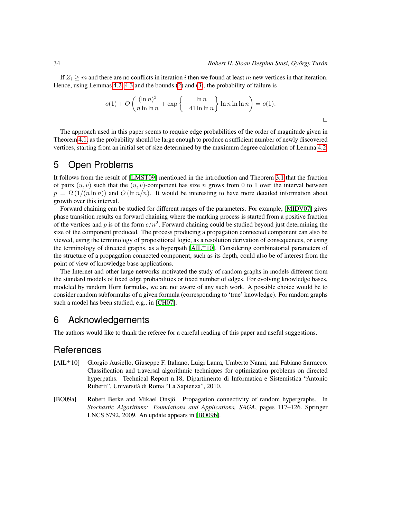If  $Z_i \geq m$  and there are no conflicts in iteration i then we found at least m new vertices in that iteration. Hence, using Lemmas [4.2,](#page-3-1) [4.3](#page-3-0) and the bounds [\(2\)](#page-4-0) and [\(3\)](#page-4-1), the probability of failure is

$$
o(1) + O\left(\frac{(\ln n)^3}{n\ln \ln n} + \exp\left\{-\frac{\ln n}{41\ln \ln n}\right\} \ln n \ln \ln n\right) = o(1).
$$

The approach used in this paper seems to require edge probabilities of the order of magnitude given in Theorem [4.1,](#page-2-1) as the probability should be large enough to produce a sufficient number of newly discovered vertices, starting from an initial set of size determined by the maximum degree calculation of Lemma [4.2.](#page-3-1)

# 5 Open Problems

It follows from the result of [\[LMST09\]](#page-6-3) mentioned in the introduction and Theorem [3.1](#page-2-2) that the fraction of pairs  $(u, v)$  such that the  $(u, v)$ -component has size n grows from 0 to 1 over the interval between  $p = \Omega(1/(n \ln n))$  and  $O(\ln n/n)$ . It would be interesting to have more detailed information about growth over this interval.

Forward chaining can be studied for different ranges of the parameters. For example, [\[MIDV07\]](#page-6-4) gives phase transition results on forward chaining where the marking process is started from a positive fraction of the vertices and p is of the form  $c/n^2$ . Forward chaining could be studied beyond just determining the size of the component produced. The process producing a propagation connected component can also be viewed, using the terminology of propositional logic, as a resolution derivation of consequences, or using the terminology of directed graphs, as a hyperpath  $[AL<sup>+</sup>10]$ . Considering combinatorial parameters of the structure of a propagation connected component, such as its depth, could also be of interest from the point of view of knowledge base applications.

The Internet and other large networks motivated the study of random graphs in models different from the standard models of fixed edge probabilities or fixed number of edges. For evolving knowledge bases, modeled by random Horn formulas, we are not aware of any such work. A possible choice would be to consider random subformulas of a given formula (corresponding to 'true' knowledge). For random graphs such a model has been studied, e.g., in [\[CH07\]](#page-6-10).

# 6 Acknowledgements

The authors would like to thank the referee for a careful reading of this paper and useful suggestions.

### **References**

- <span id="page-5-1"></span>[AIL<sup>+</sup>10] Giorgio Ausiello, Giuseppe F. Italiano, Luigi Laura, Umberto Nanni, and Fabiano Sarracco. Classification and traversal algorithmic techniques for optimization problems on directed hyperpaths. Technical Report n.18, Dipartimento di Informatica e Sistemistica "Antonio Ruberti", Universita di Roma "La Sapienza", 2010. `
- <span id="page-5-0"></span>[BO09a] Robert Berke and Mikael Onsjö. Propagation connectivity of random hypergraphs. In *Stochastic Algorithms: Foundations and Applications, SAGA*, pages 117–126. Springer LNCS 5792, 2009. An update appears in [\[BO09b\]](#page-6-5).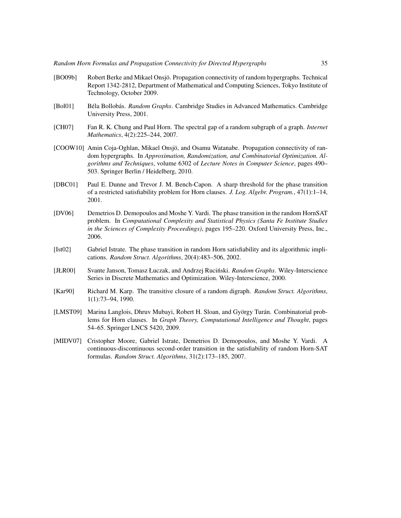- <span id="page-6-5"></span>[BO09b] Robert Berke and Mikael Onsjo. Propagation connectivity of random hypergraphs. Technical ¨ Report 1342-2812, Department of Mathematical and Computing Sciences, Tokyo Institute of Technology, October 2009.
- <span id="page-6-9"></span>[Bol01] Béla Bollobás. *Random Graphs*. Cambridge Studies in Advanced Mathematics. Cambridge University Press, 2001.
- <span id="page-6-10"></span>[CH07] Fan R. K. Chung and Paul Horn. The spectral gap of a random subgraph of a graph. *Internet Mathematics*, 4(2):225–244, 2007.
- <span id="page-6-8"></span>[COOW10] Amin Coja-Oghlan, Mikael Onsjö, and Osamu Watanabe. Propagation connectivity of random hypergraphs. In *Approximation, Randomization, and Combinatorial Optimization. Algorithms and Techniques*, volume 6302 of *Lecture Notes in Computer Science*, pages 490– 503. Springer Berlin / Heidelberg, 2010.
- <span id="page-6-0"></span>[DBC01] Paul E. Dunne and Trevor J. M. Bench-Capon. A sharp threshold for the phase transition of a restricted satisfiability problem for Horn clauses. *J. Log. Algebr. Program.*, 47(1):1–14, 2001.
- <span id="page-6-1"></span>[DV06] Demetrios D. Demopoulos and Moshe Y. Vardi. The phase transition in the random HornSAT problem. In *Computational Complexity and Statistical Physics (Santa Fe Institute Studies in the Sciences of Complexity Proceedings)*, pages 195–220. Oxford University Press, Inc., 2006.
- <span id="page-6-2"></span>[Ist02] Gabriel Istrate. The phase transition in random Horn satisfiability and its algorithmic implications. *Random Struct. Algorithms*, 20(4):483–506, 2002.
- <span id="page-6-7"></span>[JŁR00] Svante Janson, Tomasz Łuczak, and Andrzej Ruciński. *Random Graphs*. Wiley-Interscience Series in Discrete Mathematics and Optimization. Wiley-Interscience, 2000.
- <span id="page-6-6"></span>[Kar90] Richard M. Karp. The transitive closure of a random digraph. *Random Struct. Algorithms*, 1(1):73–94, 1990.
- <span id="page-6-3"></span>[LMST09] Marina Langlois, Dhruv Mubayi, Robert H. Sloan, and György Turán. Combinatorial problems for Horn clauses. In *Graph Theory, Computational Intelligence and Thought*, pages 54–65. Springer LNCS 5420, 2009.
- <span id="page-6-4"></span>[MIDV07] Cristopher Moore, Gabriel Istrate, Demetrios D. Demopoulos, and Moshe Y. Vardi. A continuous-discontinuous second-order transition in the satisfiability of random Horn-SAT formulas. *Random Struct. Algorithms*, 31(2):173–185, 2007.